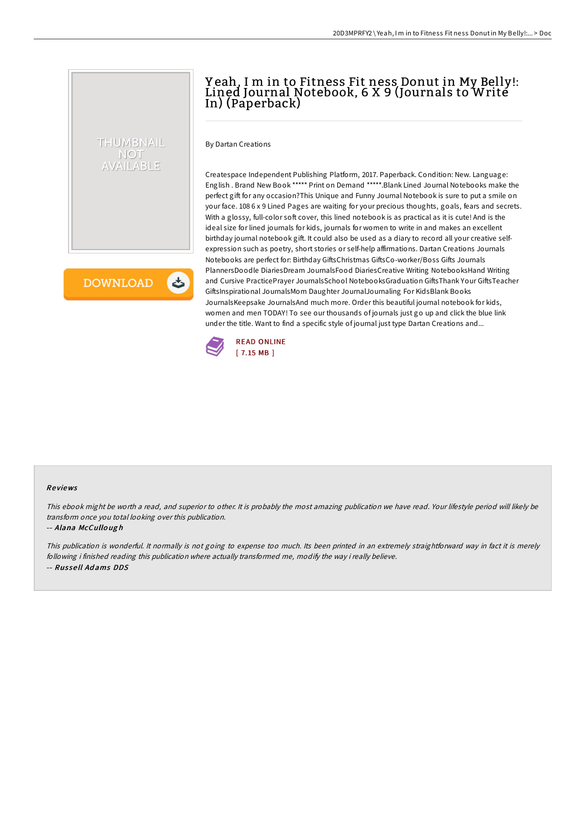## Y eah, I m in to Fitness Fit ness Donut in My Belly!: Lined Journal Notebook, 6 X 9 (Journals to Write In) (Paperback)

By Dartan Creations

THUMBNAIL NOT VAILABLE

**DOWNLOAD** 

 $\rightarrow$ 

Createspace Independent Publishing Platform, 2017. Paperback. Condition: New. Language: English . Brand New Book \*\*\*\*\* Print on Demand \*\*\*\*\*.Blank Lined Journal Notebooks make the perfect gift for any occasion?This Unique and Funny Journal Notebook is sure to put a smile on your face. 108 6 x 9 Lined Pages are waiting for your precious thoughts, goals, fears and secrets. With a glossy, full-color soft cover, this lined notebook is as practical as it is cute! And is the ideal size for lined journals for kids, journals for women to write in and makes an excellent birthday journal notebook gift. It could also be used as a diary to record all your creative selfexpression such as poetry, short stories or self-help affirmations. Dartan Creations Journals Notebooks are perfect for: Birthday GiftsChristmas GiftsCo-worker/Boss Gifts Journals PlannersDoodle DiariesDream JournalsFood DiariesCreative Writing NotebooksHand Writing and Cursive PracticePrayer JournalsSchool NotebooksGraduation GiftsThank Your GiftsTeacher GiftsInspirational JournalsMom Daughter JournalJournaling For KidsBlank Books JournalsKeepsake JournalsAnd much more. Order this beautiful journal notebook for kids, women and men TODAY! To see our thousands of journals just go up and click the blue link under the title. Want to find a specific style of journal just type Dartan Creations and...



## Re views

This ebook might be worth <sup>a</sup> read, and superior to other. It is probably the most amazing publication we have read. Your lifestyle period will likely be transform once you total looking over this publication.

## -- Alana McCullo ug h

This publication is wonderful. It normally is not going to expense too much. Its been printed in an extremely straightforward way in fact it is merely following i finished reading this publication where actually transformed me, modify the way i really believe. -- Rus se ll Ad ams DDS